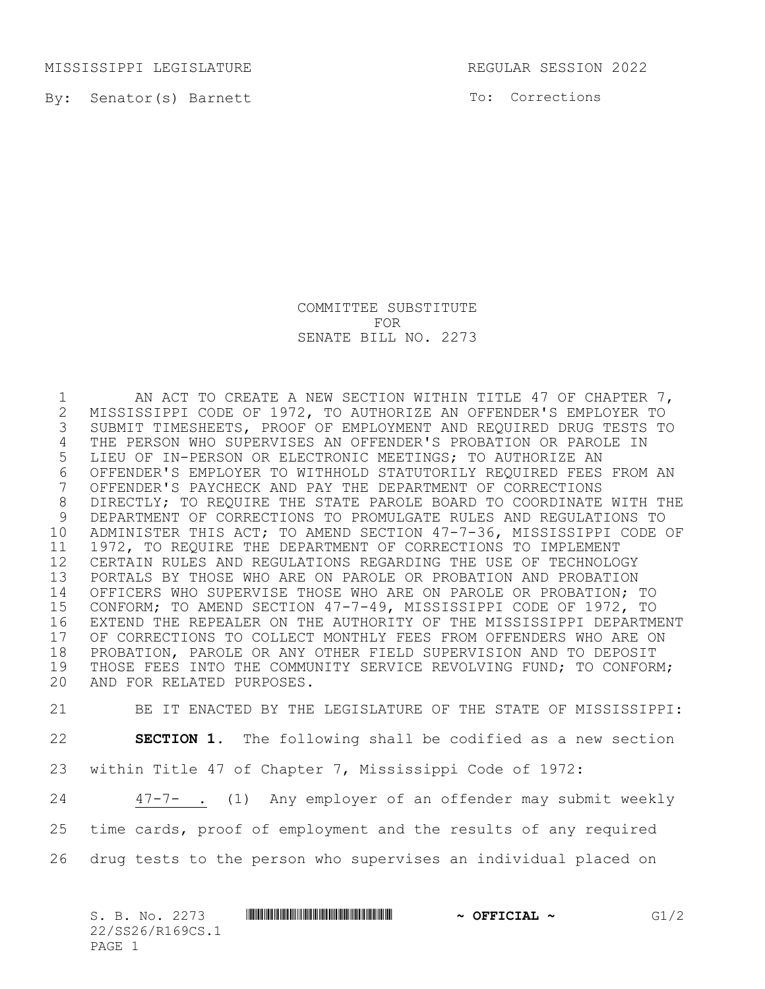MISSISSIPPI LEGISLATURE REGULAR SESSION 2022

By: Senator(s) Barnett

To: Corrections

## COMMITTEE SUBSTITUTE FOR SENATE BILL NO. 2273

 AN ACT TO CREATE A NEW SECTION WITHIN TITLE 47 OF CHAPTER 7, 2 MISSISSIPPI CODE OF 1972, TO AUTHORIZE AN OFFENDER'S EMPLOYER TO<br>3 SUBMIT TIMESHEETS, PROOF OF EMPLOYMENT AND REQUIRED DRUG TESTS TO SUBMIT TIMESHEETS, PROOF OF EMPLOYMENT AND REQUIRED DRUG TESTS TO THE PERSON WHO SUPERVISES AN OFFENDER'S PROBATION OR PAROLE IN LIEU OF IN-PERSON OR ELECTRONIC MEETINGS; TO AUTHORIZE AN OFFENDER'S EMPLOYER TO WITHHOLD STATUTORILY REQUIRED FEES FROM AN OFFENDER'S PAYCHECK AND PAY THE DEPARTMENT OF CORRECTIONS DIRECTLY; TO REQUIRE THE STATE PAROLE BOARD TO COORDINATE WITH THE DEPARTMENT OF CORRECTIONS TO PROMULGATE RULES AND REGULATIONS TO ADMINISTER THIS ACT; TO AMEND SECTION 47-7-36, MISSISSIPPI CODE OF 1972, TO REQUIRE THE DEPARTMENT OF CORRECTIONS TO IMPLEMENT CERTAIN RULES AND REGULATIONS REGARDING THE USE OF TECHNOLOGY PORTALS BY THOSE WHO ARE ON PAROLE OR PROBATION AND PROBATION OFFICERS WHO SUPERVISE THOSE WHO ARE ON PAROLE OR PROBATION; TO CONFORM; TO AMEND SECTION 47-7-49, MISSISSIPPI CODE OF 1972, TO EXTEND THE REPEALER ON THE AUTHORITY OF THE MISSISSIPPI DEPARTMENT 17 OF CORRECTIONS TO COLLECT MONTHLY FEES FROM OFFENDERS WHO ARE ON<br>18 PROBATION, PAROLE OR ANY OTHER FIELD SUPERVISION AND TO DEPOSIT PROBATION, PAROLE OR ANY OTHER FIELD SUPERVISION AND TO DEPOSIT THOSE FEES INTO THE COMMUNITY SERVICE REVOLVING FUND; TO CONFORM; AND FOR RELATED PURPOSES.

 BE IT ENACTED BY THE LEGISLATURE OF THE STATE OF MISSISSIPPI: **SECTION 1.** The following shall be codified as a new section within Title 47 of Chapter 7, Mississippi Code of 1972: 47-7- . (1) Any employer of an offender may submit weekly time cards, proof of employment and the results of any required drug tests to the person who supervises an individual placed on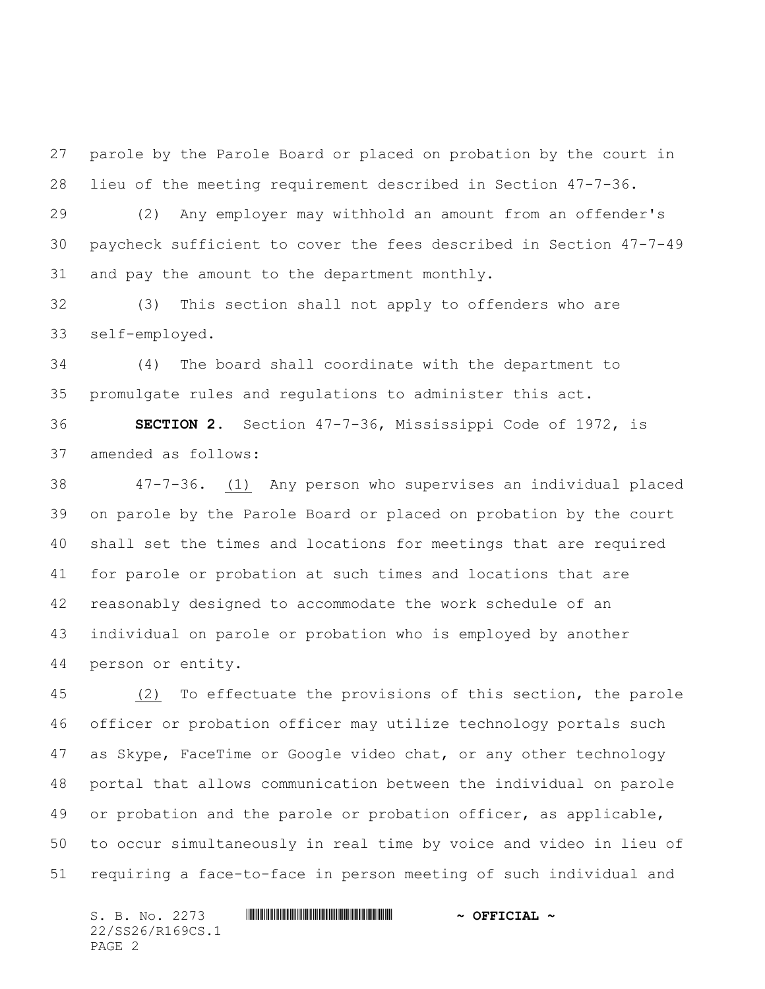parole by the Parole Board or placed on probation by the court in lieu of the meeting requirement described in Section 47-7-36.

 (2) Any employer may withhold an amount from an offender's paycheck sufficient to cover the fees described in Section 47-7-49 and pay the amount to the department monthly.

 (3) This section shall not apply to offenders who are self-employed.

 (4) The board shall coordinate with the department to promulgate rules and regulations to administer this act.

 **SECTION 2.** Section 47-7-36, Mississippi Code of 1972, is amended as follows:

 47-7-36. (1) Any person who supervises an individual placed on parole by the Parole Board or placed on probation by the court shall set the times and locations for meetings that are required for parole or probation at such times and locations that are reasonably designed to accommodate the work schedule of an individual on parole or probation who is employed by another person or entity.

 (2) To effectuate the provisions of this section, the parole officer or probation officer may utilize technology portals such as Skype, FaceTime or Google video chat, or any other technology portal that allows communication between the individual on parole 49 or probation and the parole or probation officer, as applicable, to occur simultaneously in real time by voice and video in lieu of requiring a face-to-face in person meeting of such individual and

S. B. No. 2273 **. WILL AND ALL AND A SEPT CIAL ~** 22/SS26/R169CS.1 PAGE 2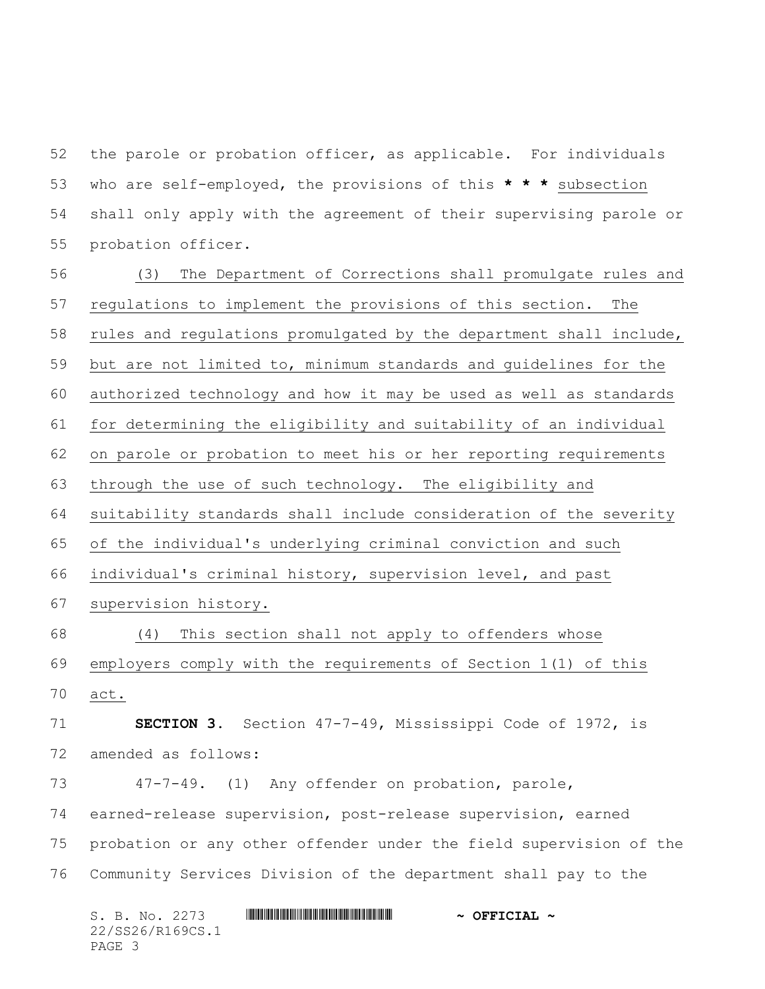the parole or probation officer, as applicable. For individuals who are self-employed, the provisions of this **\* \* \*** subsection shall only apply with the agreement of their supervising parole or probation officer.

 (3) The Department of Corrections shall promulgate rules and regulations to implement the provisions of this section. The rules and regulations promulgated by the department shall include, but are not limited to, minimum standards and guidelines for the authorized technology and how it may be used as well as standards for determining the eligibility and suitability of an individual on parole or probation to meet his or her reporting requirements through the use of such technology. The eligibility and 64 suitability standards shall include consideration of the severity of the individual's underlying criminal conviction and such individual's criminal history, supervision level, and past supervision history. (4) This section shall not apply to offenders whose employers comply with the requirements of Section 1(1) of this act. **SECTION 3.** Section 47-7-49, Mississippi Code of 1972, is amended as follows: 47-7-49. (1) Any offender on probation, parole, earned-release supervision, post-release supervision, earned probation or any other offender under the field supervision of the Community Services Division of the department shall pay to the

S. B. No. 2273 **. WILL AND ALL AND A SEPT CIAL ~** 22/SS26/R169CS.1 PAGE 3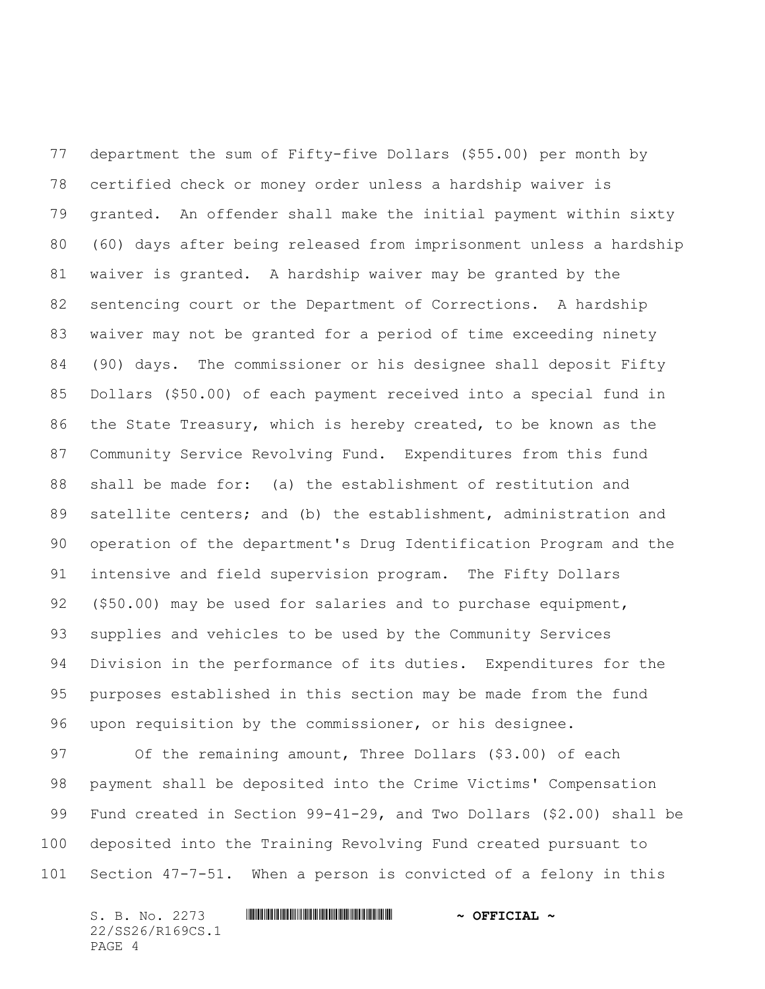department the sum of Fifty-five Dollars (\$55.00) per month by certified check or money order unless a hardship waiver is granted. An offender shall make the initial payment within sixty (60) days after being released from imprisonment unless a hardship waiver is granted. A hardship waiver may be granted by the sentencing court or the Department of Corrections. A hardship waiver may not be granted for a period of time exceeding ninety (90) days. The commissioner or his designee shall deposit Fifty Dollars (\$50.00) of each payment received into a special fund in the State Treasury, which is hereby created, to be known as the Community Service Revolving Fund. Expenditures from this fund shall be made for: (a) the establishment of restitution and satellite centers; and (b) the establishment, administration and operation of the department's Drug Identification Program and the intensive and field supervision program. The Fifty Dollars (\$50.00) may be used for salaries and to purchase equipment, supplies and vehicles to be used by the Community Services Division in the performance of its duties. Expenditures for the purposes established in this section may be made from the fund upon requisition by the commissioner, or his designee.

97 Of the remaining amount, Three Dollars (\$3.00) of each payment shall be deposited into the Crime Victims' Compensation Fund created in Section 99-41-29, and Two Dollars (\$2.00) shall be deposited into the Training Revolving Fund created pursuant to Section 47-7-51. When a person is convicted of a felony in this

S. B. No. 2273 **. WILL AND ALL AND A SEPT CIAL ~** 22/SS26/R169CS.1 PAGE 4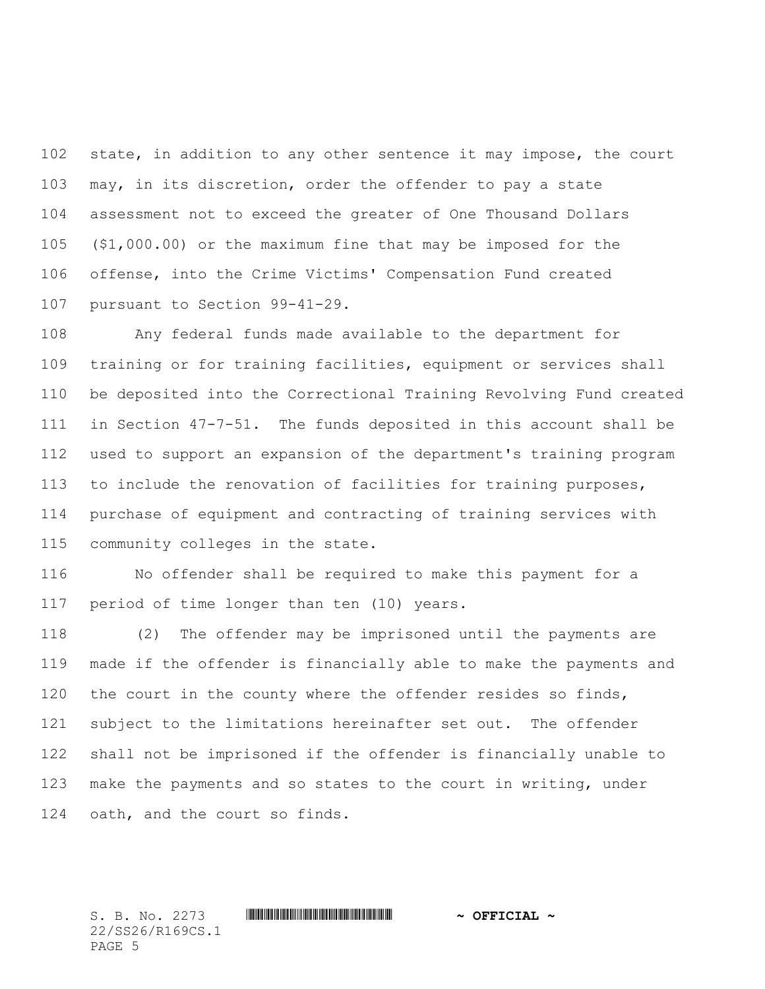state, in addition to any other sentence it may impose, the court may, in its discretion, order the offender to pay a state assessment not to exceed the greater of One Thousand Dollars (\$1,000.00) or the maximum fine that may be imposed for the offense, into the Crime Victims' Compensation Fund created pursuant to Section 99-41-29.

 Any federal funds made available to the department for training or for training facilities, equipment or services shall be deposited into the Correctional Training Revolving Fund created in Section 47-7-51. The funds deposited in this account shall be used to support an expansion of the department's training program to include the renovation of facilities for training purposes, purchase of equipment and contracting of training services with community colleges in the state.

 No offender shall be required to make this payment for a period of time longer than ten (10) years.

 (2) The offender may be imprisoned until the payments are made if the offender is financially able to make the payments and 120 the court in the county where the offender resides so finds, subject to the limitations hereinafter set out. The offender shall not be imprisoned if the offender is financially unable to make the payments and so states to the court in writing, under oath, and the court so finds.

S. B. No. 2273 \*SS26/R169CS.1\* **~ OFFICIAL ~** 22/SS26/R169CS.1 PAGE 5